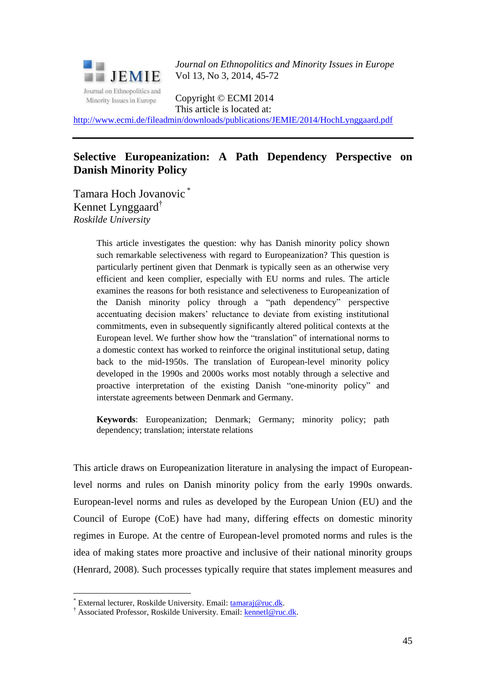

*Journal on Ethnopolitics and Minority Issues in Europe* Vol 13, No 3, 2014, 45-72

Copyright © ECMI 2014 This article is located at:

<http://www.ecmi.de/fileadmin/downloads/publications/JEMIE/2014/HochLynggaard.pdf>

## **Selective Europeanization: A Path Dependency Perspective on Danish Minority Policy**

Tamara Hoch Jovanovic \* Kennet Lynggaard<sup>†</sup> *Roskilde University*

> This article investigates the question: why has Danish minority policy shown such remarkable selectiveness with regard to Europeanization? This question is particularly pertinent given that Denmark is typically seen as an otherwise very efficient and keen complier, especially with EU norms and rules. The article examines the reasons for both resistance and selectiveness to Europeanization of the Danish minority policy through a "path dependency" perspective accentuating decision makers' reluctance to deviate from existing institutional commitments, even in subsequently significantly altered political contexts at the European level. We further show how the "translation" of international norms to a domestic context has worked to reinforce the original institutional setup, dating back to the mid-1950s. The translation of European-level minority policy developed in the 1990s and 2000s works most notably through a selective and proactive interpretation of the existing Danish "one-minority policy" and interstate agreements between Denmark and Germany.

> **Keywords**: Europeanization; Denmark; Germany; minority policy; path dependency; translation; interstate relations

This article draws on Europeanization literature in analysing the impact of Europeanlevel norms and rules on Danish minority policy from the early 1990s onwards. European-level norms and rules as developed by the European Union (EU) and the Council of Europe (CoE) have had many, differing effects on domestic minority regimes in Europe. At the centre of European-level promoted norms and rules is the idea of making states more proactive and inclusive of their national minority groups (Henrard, 2008). Such processes typically require that states implement measures and

<u>.</u>

<sup>\*</sup> External lecturer, Roskilde University. Email: [tamaraj@ruc.dk.](mailto:tamaraj@ruc.dk)

<sup>†</sup> Associated Professor, Roskilde University. Email: [kennetl@ruc.dk.](mailto:kennetl@ruc.dk)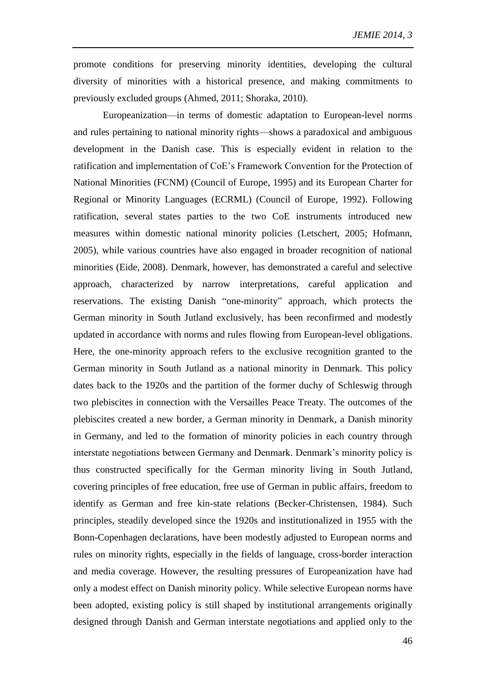promote conditions for preserving minority identities, developing the cultural diversity of minorities with a historical presence, and making commitments to previously excluded groups (Ahmed, 2011; Shoraka, 2010).

Europeanization—in terms of domestic adaptation to European-level norms and rules pertaining to national minority rights—shows a paradoxical and ambiguous development in the Danish case. This is especially evident in relation to the ratification and implementation of CoE's Framework Convention for the Protection of National Minorities (FCNM) (Council of Europe, 1995) and its European Charter for Regional or Minority Languages (ECRML) (Council of Europe, 1992). Following ratification, several states parties to the two CoE instruments introduced new measures within domestic national minority policies (Letschert, 2005; Hofmann, 2005), while various countries have also engaged in broader recognition of national minorities (Eide, 2008). Denmark, however, has demonstrated a careful and selective approach, characterized by narrow interpretations, careful application and reservations. The existing Danish "one-minority" approach, which protects the German minority in South Jutland exclusively, has been reconfirmed and modestly updated in accordance with norms and rules flowing from European-level obligations. Here, the one-minority approach refers to the exclusive recognition granted to the German minority in South Jutland as a national minority in Denmark. This policy dates back to the 1920s and the partition of the former duchy of Schleswig through two plebiscites in connection with the Versailles Peace Treaty. The outcomes of the plebiscites created a new border, a German minority in Denmark, a Danish minority in Germany, and led to the formation of minority policies in each country through interstate negotiations between Germany and Denmark. Denmark's minority policy is thus constructed specifically for the German minority living in South Jutland, covering principles of free education, free use of German in public affairs, freedom to identify as German and free kin-state relations (Becker-Christensen, 1984). Such principles, steadily developed since the 1920s and institutionalized in 1955 with the Bonn-Copenhagen declarations, have been modestly adjusted to European norms and rules on minority rights, especially in the fields of language, cross-border interaction and media coverage. However, the resulting pressures of Europeanization have had only a modest effect on Danish minority policy. While selective European norms have been adopted, existing policy is still shaped by institutional arrangements originally designed through Danish and German interstate negotiations and applied only to the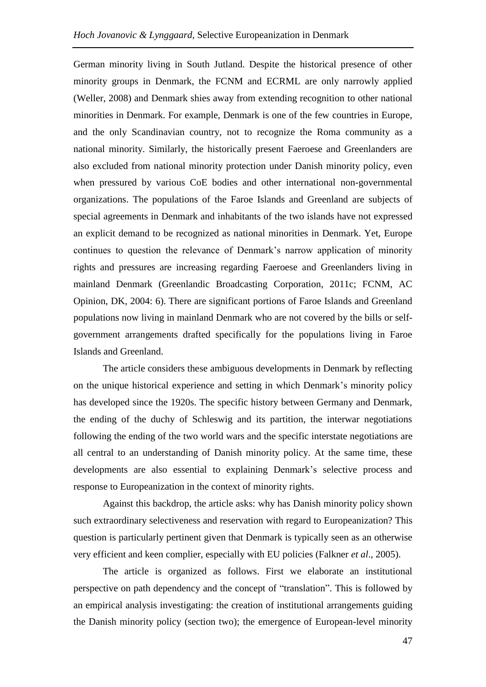German minority living in South Jutland. Despite the historical presence of other minority groups in Denmark, the FCNM and ECRML are only narrowly applied (Weller, 2008) and Denmark shies away from extending recognition to other national minorities in Denmark. For example, Denmark is one of the few countries in Europe, and the only Scandinavian country, not to recognize the Roma community as a national minority. Similarly, the historically present Faeroese and Greenlanders are also excluded from national minority protection under Danish minority policy, even when pressured by various CoE bodies and other international non-governmental organizations. The populations of the Faroe Islands and Greenland are subjects of special agreements in Denmark and inhabitants of the two islands have not expressed an explicit demand to be recognized as national minorities in Denmark. Yet, Europe continues to question the relevance of Denmark's narrow application of minority rights and pressures are increasing regarding Faeroese and Greenlanders living in mainland Denmark (Greenlandic Broadcasting Corporation, 2011c; FCNM, AC Opinion, DK, 2004: 6). There are significant portions of Faroe Islands and Greenland populations now living in mainland Denmark who are not covered by the bills or selfgovernment arrangements drafted specifically for the populations living in Faroe Islands and Greenland.

The article considers these ambiguous developments in Denmark by reflecting on the unique historical experience and setting in which Denmark's minority policy has developed since the 1920s. The specific history between Germany and Denmark, the ending of the duchy of Schleswig and its partition, the interwar negotiations following the ending of the two world wars and the specific interstate negotiations are all central to an understanding of Danish minority policy. At the same time, these developments are also essential to explaining Denmark's selective process and response to Europeanization in the context of minority rights.

Against this backdrop, the article asks: why has Danish minority policy shown such extraordinary selectiveness and reservation with regard to Europeanization? This question is particularly pertinent given that Denmark is typically seen as an otherwise very efficient and keen complier, especially with EU policies (Falkner *et al*., 2005).

The article is organized as follows. First we elaborate an institutional perspective on path dependency and the concept of "translation". This is followed by an empirical analysis investigating: the creation of institutional arrangements guiding the Danish minority policy (section two); the emergence of European-level minority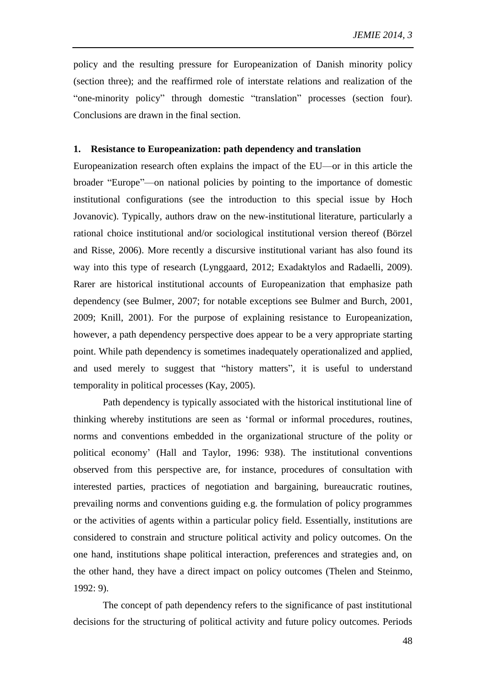policy and the resulting pressure for Europeanization of Danish minority policy (section three); and the reaffirmed role of interstate relations and realization of the "one-minority policy" through domestic "translation" processes (section four). Conclusions are drawn in the final section.

#### **1. Resistance to Europeanization: path dependency and translation**

Europeanization research often explains the impact of the EU—or in this article the broader "Europe"—on national policies by pointing to the importance of domestic institutional configurations (see the introduction to this special issue by Hoch Jovanovic). Typically, authors draw on the new-institutional literature, particularly a rational choice institutional and/or sociological institutional version thereof (Börzel and Risse, 2006). More recently a discursive institutional variant has also found its way into this type of research (Lynggaard, 2012; Exadaktylos and Radaelli, 2009). Rarer are historical institutional accounts of Europeanization that emphasize path dependency (see Bulmer, 2007; for notable exceptions see Bulmer and Burch, 2001, 2009; Knill, 2001). For the purpose of explaining resistance to Europeanization, however, a path dependency perspective does appear to be a very appropriate starting point. While path dependency is sometimes inadequately operationalized and applied, and used merely to suggest that "history matters", it is useful to understand temporality in political processes (Kay, 2005).

Path dependency is typically associated with the historical institutional line of thinking whereby institutions are seen as 'formal or informal procedures, routines, norms and conventions embedded in the organizational structure of the polity or political economy' (Hall and Taylor, 1996: 938). The institutional conventions observed from this perspective are, for instance, procedures of consultation with interested parties, practices of negotiation and bargaining, bureaucratic routines, prevailing norms and conventions guiding e.g. the formulation of policy programmes or the activities of agents within a particular policy field. Essentially, institutions are considered to constrain and structure political activity and policy outcomes. On the one hand, institutions shape political interaction, preferences and strategies and, on the other hand, they have a direct impact on policy outcomes (Thelen and Steinmo, 1992: 9).

The concept of path dependency refers to the significance of past institutional decisions for the structuring of political activity and future policy outcomes. Periods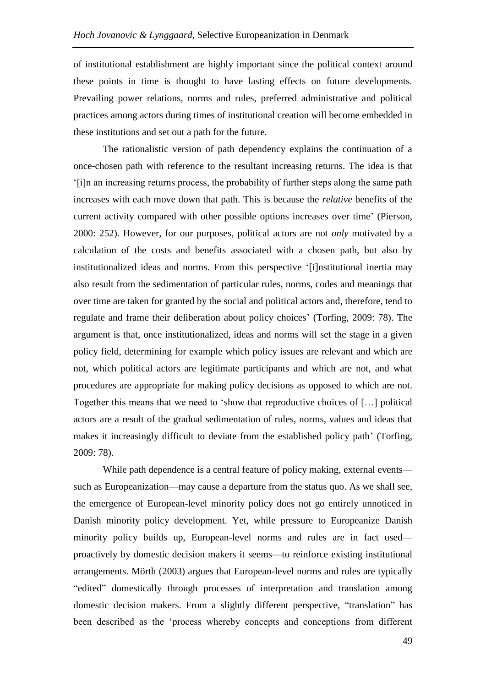of institutional establishment are highly important since the political context around these points in time is thought to have lasting effects on future developments. Prevailing power relations, norms and rules, preferred administrative and political practices among actors during times of institutional creation will become embedded in these institutions and set out a path for the future.

The rationalistic version of path dependency explains the continuation of a once-chosen path with reference to the resultant increasing returns. The idea is that '[i]n an increasing returns process, the probability of further steps along the same path increases with each move down that path. This is because the *relative* benefits of the current activity compared with other possible options increases over time' (Pierson, 2000: 252). However, for our purposes, political actors are not *only* motivated by a calculation of the costs and benefits associated with a chosen path, but also by institutionalized ideas and norms. From this perspective '[i]nstitutional inertia may also result from the sedimentation of particular rules, norms, codes and meanings that over time are taken for granted by the social and political actors and, therefore, tend to regulate and frame their deliberation about policy choices' (Torfing, 2009: 78). The argument is that, once institutionalized, ideas and norms will set the stage in a given policy field, determining for example which policy issues are relevant and which are not, which political actors are legitimate participants and which are not, and what procedures are appropriate for making policy decisions as opposed to which are not. Together this means that we need to 'show that reproductive choices of […] political actors are a result of the gradual sedimentation of rules, norms, values and ideas that makes it increasingly difficult to deviate from the established policy path' (Torfing, 2009: 78).

While path dependence is a central feature of policy making, external events such as Europeanization—may cause a departure from the status quo. As we shall see, the emergence of European-level minority policy does not go entirely unnoticed in Danish minority policy development. Yet, while pressure to Europeanize Danish minority policy builds up, European-level norms and rules are in fact used proactively by domestic decision makers it seems—to reinforce existing institutional arrangements. Mörth (2003) argues that European-level norms and rules are typically "edited" domestically through processes of interpretation and translation among domestic decision makers. From a slightly different perspective, "translation" has been described as the 'process whereby concepts and conceptions from different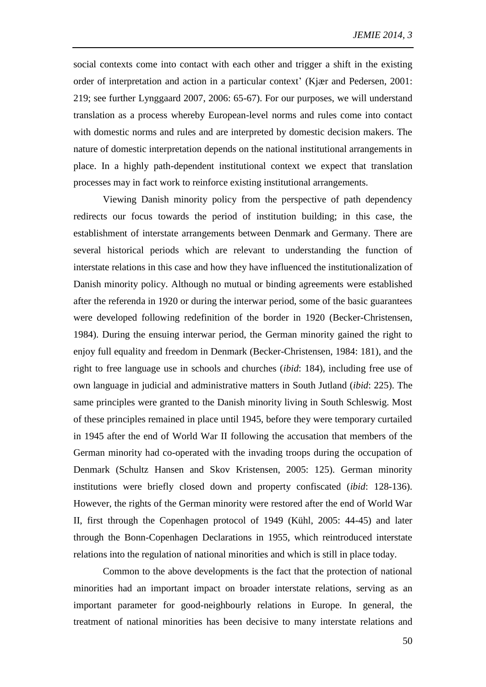social contexts come into contact with each other and trigger a shift in the existing order of interpretation and action in a particular context' (Kjær and Pedersen, 2001: 219; see further Lynggaard 2007, 2006: 65-67). For our purposes, we will understand translation as a process whereby European-level norms and rules come into contact with domestic norms and rules and are interpreted by domestic decision makers. The nature of domestic interpretation depends on the national institutional arrangements in place. In a highly path-dependent institutional context we expect that translation processes may in fact work to reinforce existing institutional arrangements.

Viewing Danish minority policy from the perspective of path dependency redirects our focus towards the period of institution building; in this case, the establishment of interstate arrangements between Denmark and Germany. There are several historical periods which are relevant to understanding the function of interstate relations in this case and how they have influenced the institutionalization of Danish minority policy. Although no mutual or binding agreements were established after the referenda in 1920 or during the interwar period, some of the basic guarantees were developed following redefinition of the border in 1920 (Becker-Christensen, 1984). During the ensuing interwar period, the German minority gained the right to enjoy full equality and freedom in Denmark (Becker-Christensen, 1984: 181), and the right to free language use in schools and churches (*ibid*: 184), including free use of own language in judicial and administrative matters in South Jutland (*ibid*: 225). The same principles were granted to the Danish minority living in South Schleswig. Most of these principles remained in place until 1945, before they were temporary curtailed in 1945 after the end of World War II following the accusation that members of the German minority had co-operated with the invading troops during the occupation of Denmark (Schultz Hansen and Skov Kristensen, 2005: 125). German minority institutions were briefly closed down and property confiscated (*ibid*: 128-136). However, the rights of the German minority were restored after the end of World War II, first through the Copenhagen protocol of 1949 (Kühl, 2005: 44-45) and later through the Bonn-Copenhagen Declarations in 1955, which reintroduced interstate relations into the regulation of national minorities and which is still in place today.

Common to the above developments is the fact that the protection of national minorities had an important impact on broader interstate relations, serving as an important parameter for good-neighbourly relations in Europe. In general, the treatment of national minorities has been decisive to many interstate relations and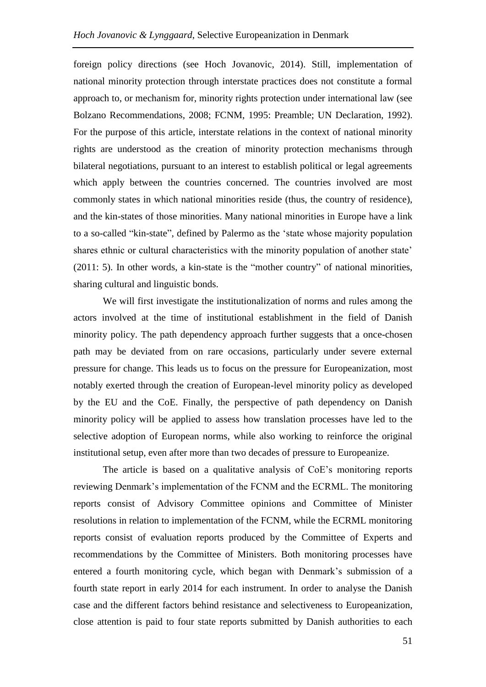foreign policy directions (see Hoch Jovanovic, 2014). Still, implementation of national minority protection through interstate practices does not constitute a formal approach to, or mechanism for, minority rights protection under international law (see Bolzano Recommendations, 2008; FCNM, 1995: Preamble; UN Declaration, 1992). For the purpose of this article, interstate relations in the context of national minority rights are understood as the creation of minority protection mechanisms through bilateral negotiations, pursuant to an interest to establish political or legal agreements which apply between the countries concerned. The countries involved are most commonly states in which national minorities reside (thus, the country of residence), and the kin-states of those minorities. Many national minorities in Europe have a link to a so-called "kin-state", defined by Palermo as the 'state whose majority population shares ethnic or cultural characteristics with the minority population of another state' (2011: 5). In other words, a kin-state is the "mother country" of national minorities, sharing cultural and linguistic bonds.

We will first investigate the institutionalization of norms and rules among the actors involved at the time of institutional establishment in the field of Danish minority policy. The path dependency approach further suggests that a once-chosen path may be deviated from on rare occasions, particularly under severe external pressure for change. This leads us to focus on the pressure for Europeanization, most notably exerted through the creation of European-level minority policy as developed by the EU and the CoE. Finally, the perspective of path dependency on Danish minority policy will be applied to assess how translation processes have led to the selective adoption of European norms, while also working to reinforce the original institutional setup, even after more than two decades of pressure to Europeanize.

The article is based on a qualitative analysis of CoE's monitoring reports reviewing Denmark's implementation of the FCNM and the ECRML. The monitoring reports consist of Advisory Committee opinions and Committee of Minister resolutions in relation to implementation of the FCNM, while the ECRML monitoring reports consist of evaluation reports produced by the Committee of Experts and recommendations by the Committee of Ministers. Both monitoring processes have entered a fourth monitoring cycle, which began with Denmark's submission of a fourth state report in early 2014 for each instrument. In order to analyse the Danish case and the different factors behind resistance and selectiveness to Europeanization, close attention is paid to four state reports submitted by Danish authorities to each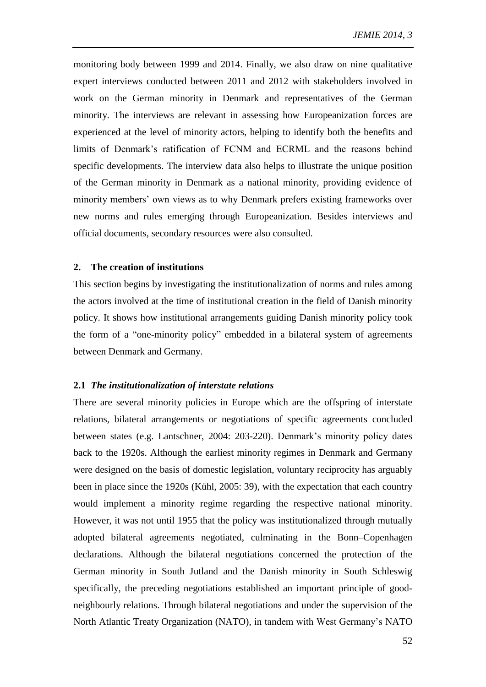monitoring body between 1999 and 2014. Finally, we also draw on nine qualitative expert interviews conducted between 2011 and 2012 with stakeholders involved in work on the German minority in Denmark and representatives of the German minority. The interviews are relevant in assessing how Europeanization forces are experienced at the level of minority actors, helping to identify both the benefits and limits of Denmark's ratification of FCNM and ECRML and the reasons behind specific developments. The interview data also helps to illustrate the unique position of the German minority in Denmark as a national minority, providing evidence of minority members' own views as to why Denmark prefers existing frameworks over new norms and rules emerging through Europeanization. Besides interviews and official documents, secondary resources were also consulted.

### **2. The creation of institutions**

This section begins by investigating the institutionalization of norms and rules among the actors involved at the time of institutional creation in the field of Danish minority policy. It shows how institutional arrangements guiding Danish minority policy took the form of a "one-minority policy" embedded in a bilateral system of agreements between Denmark and Germany.

#### **2.1** *The institutionalization of interstate relations*

There are several minority policies in Europe which are the offspring of interstate relations, bilateral arrangements or negotiations of specific agreements concluded between states (e.g. Lantschner, 2004: 203-220). Denmark's minority policy dates back to the 1920s. Although the earliest minority regimes in Denmark and Germany were designed on the basis of domestic legislation, voluntary reciprocity has arguably been in place since the 1920s (Kühl, 2005: 39), with the expectation that each country would implement a minority regime regarding the respective national minority. However, it was not until 1955 that the policy was institutionalized through mutually adopted bilateral agreements negotiated, culminating in the Bonn–Copenhagen declarations. Although the bilateral negotiations concerned the protection of the German minority in South Jutland and the Danish minority in South Schleswig specifically, the preceding negotiations established an important principle of goodneighbourly relations. Through bilateral negotiations and under the supervision of the North Atlantic Treaty Organization (NATO), in tandem with West Germany's NATO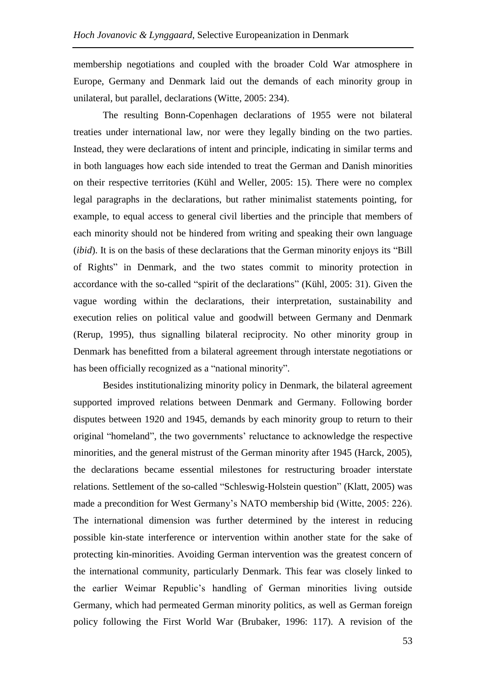membership negotiations and coupled with the broader Cold War atmosphere in Europe, Germany and Denmark laid out the demands of each minority group in unilateral, but parallel, declarations (Witte, 2005: 234).

The resulting Bonn-Copenhagen declarations of 1955 were not bilateral treaties under international law, nor were they legally binding on the two parties. Instead, they were declarations of intent and principle, indicating in similar terms and in both languages how each side intended to treat the German and Danish minorities on their respective territories (Kühl and Weller, 2005: 15). There were no complex legal paragraphs in the declarations, but rather minimalist statements pointing, for example, to equal access to general civil liberties and the principle that members of each minority should not be hindered from writing and speaking their own language (*ibid*). It is on the basis of these declarations that the German minority enjoys its "Bill of Rights" in Denmark, and the two states commit to minority protection in accordance with the so-called "spirit of the declarations" (Kühl, 2005: 31). Given the vague wording within the declarations, their interpretation, sustainability and execution relies on political value and goodwill between Germany and Denmark (Rerup, 1995), thus signalling bilateral reciprocity. No other minority group in Denmark has benefitted from a bilateral agreement through interstate negotiations or has been officially recognized as a "national minority".

Besides institutionalizing minority policy in Denmark, the bilateral agreement supported improved relations between Denmark and Germany. Following border disputes between 1920 and 1945, demands by each minority group to return to their original "homeland", the two governments' reluctance to acknowledge the respective minorities, and the general mistrust of the German minority after 1945 (Harck, 2005), the declarations became essential milestones for restructuring broader interstate relations. Settlement of the so-called "Schleswig-Holstein question" (Klatt, 2005) was made a precondition for West Germany's NATO membership bid (Witte, 2005: 226). The international dimension was further determined by the interest in reducing possible kin-state interference or intervention within another state for the sake of protecting kin-minorities. Avoiding German intervention was the greatest concern of the international community, particularly Denmark. This fear was closely linked to the earlier Weimar Republic's handling of German minorities living outside Germany, which had permeated German minority politics, as well as German foreign policy following the First World War (Brubaker, 1996: 117). A revision of the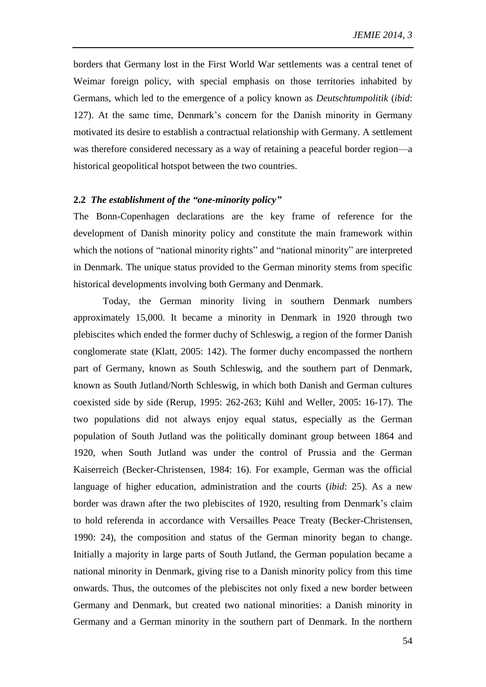borders that Germany lost in the First World War settlements was a central tenet of Weimar foreign policy, with special emphasis on those territories inhabited by Germans, which led to the emergence of a policy known as *Deutschtumpolitik* (*ibid*: 127). At the same time, Denmark's concern for the Danish minority in Germany motivated its desire to establish a contractual relationship with Germany. A settlement was therefore considered necessary as a way of retaining a peaceful border region—a historical geopolitical hotspot between the two countries.

#### **2.2** *The establishment of the "one-minority policy"*

The Bonn-Copenhagen declarations are the key frame of reference for the development of Danish minority policy and constitute the main framework within which the notions of "national minority rights" and "national minority" are interpreted in Denmark. The unique status provided to the German minority stems from specific historical developments involving both Germany and Denmark.

Today, the German minority living in southern Denmark numbers approximately 15,000. It became a minority in Denmark in 1920 through two plebiscites which ended the former duchy of Schleswig, a region of the former Danish conglomerate state (Klatt, 2005: 142). The former duchy encompassed the northern part of Germany, known as South Schleswig, and the southern part of Denmark, known as South Jutland/North Schleswig, in which both Danish and German cultures coexisted side by side (Rerup, 1995: 262-263; Kühl and Weller, 2005: 16-17). The two populations did not always enjoy equal status, especially as the German population of South Jutland was the politically dominant group between 1864 and 1920, when South Jutland was under the control of Prussia and the German Kaiserreich (Becker-Christensen, 1984: 16). For example, German was the official language of higher education, administration and the courts (*ibid*: 25). As a new border was drawn after the two plebiscites of 1920, resulting from Denmark's claim to hold referenda in accordance with Versailles Peace Treaty (Becker-Christensen, 1990: 24), the composition and status of the German minority began to change. Initially a majority in large parts of South Jutland, the German population became a national minority in Denmark, giving rise to a Danish minority policy from this time onwards. Thus, the outcomes of the plebiscites not only fixed a new border between Germany and Denmark, but created two national minorities: a Danish minority in Germany and a German minority in the southern part of Denmark. In the northern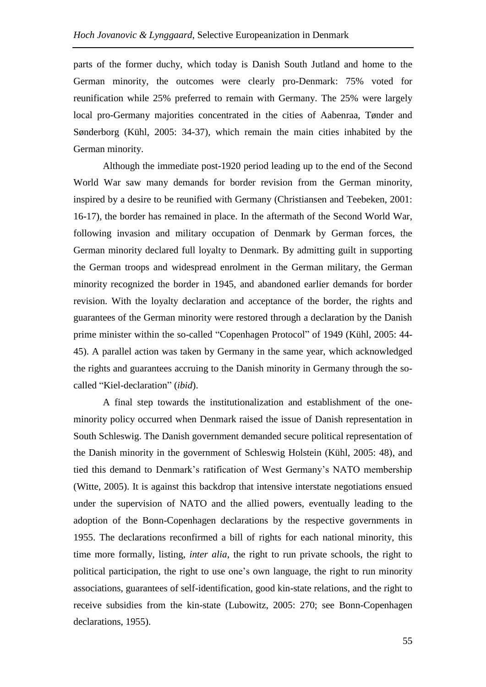parts of the former duchy, which today is Danish South Jutland and home to the German minority, the outcomes were clearly pro-Denmark: 75% voted for reunification while 25% preferred to remain with Germany. The 25% were largely local pro-Germany majorities concentrated in the cities of Aabenraa, Tønder and Sønderborg (Kühl, 2005: 34-37), which remain the main cities inhabited by the German minority.

Although the immediate post-1920 period leading up to the end of the Second World War saw many demands for border revision from the German minority, inspired by a desire to be reunified with Germany (Christiansen and Teebeken, 2001: 16-17), the border has remained in place. In the aftermath of the Second World War, following invasion and military occupation of Denmark by German forces, the German minority declared full loyalty to Denmark. By admitting guilt in supporting the German troops and widespread enrolment in the German military, the German minority recognized the border in 1945, and abandoned earlier demands for border revision. With the loyalty declaration and acceptance of the border, the rights and guarantees of the German minority were restored through a declaration by the Danish prime minister within the so-called "Copenhagen Protocol" of 1949 (Kühl, 2005: 44- 45). A parallel action was taken by Germany in the same year, which acknowledged the rights and guarantees accruing to the Danish minority in Germany through the socalled "Kiel-declaration" (*ibid*).

A final step towards the institutionalization and establishment of the oneminority policy occurred when Denmark raised the issue of Danish representation in South Schleswig. The Danish government demanded secure political representation of the Danish minority in the government of Schleswig Holstein (Kühl, 2005: 48), and tied this demand to Denmark's ratification of West Germany's NATO membership (Witte, 2005). It is against this backdrop that intensive interstate negotiations ensued under the supervision of NATO and the allied powers, eventually leading to the adoption of the Bonn-Copenhagen declarations by the respective governments in 1955. The declarations reconfirmed a bill of rights for each national minority, this time more formally, listing, *inter alia*, the right to run private schools, the right to political participation, the right to use one's own language, the right to run minority associations, guarantees of self-identification, good kin-state relations, and the right to receive subsidies from the kin-state (Lubowitz, 2005: 270; see Bonn-Copenhagen declarations, 1955).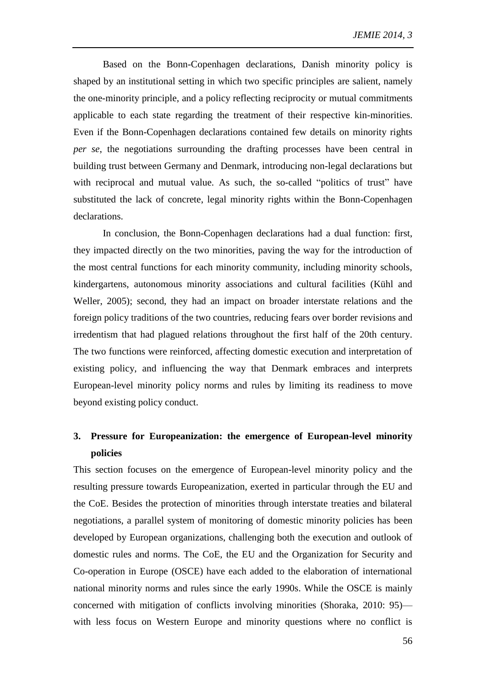Based on the Bonn-Copenhagen declarations, Danish minority policy is shaped by an institutional setting in which two specific principles are salient, namely the one-minority principle, and a policy reflecting reciprocity or mutual commitments applicable to each state regarding the treatment of their respective kin-minorities. Even if the Bonn-Copenhagen declarations contained few details on minority rights *per se*, the negotiations surrounding the drafting processes have been central in building trust between Germany and Denmark, introducing non-legal declarations but with reciprocal and mutual value. As such, the so-called "politics of trust" have substituted the lack of concrete, legal minority rights within the Bonn-Copenhagen declarations.

In conclusion, the Bonn-Copenhagen declarations had a dual function: first, they impacted directly on the two minorities, paving the way for the introduction of the most central functions for each minority community, including minority schools, kindergartens, autonomous minority associations and cultural facilities (Kühl and Weller, 2005); second, they had an impact on broader interstate relations and the foreign policy traditions of the two countries, reducing fears over border revisions and irredentism that had plagued relations throughout the first half of the 20th century. The two functions were reinforced, affecting domestic execution and interpretation of existing policy, and influencing the way that Denmark embraces and interprets European-level minority policy norms and rules by limiting its readiness to move beyond existing policy conduct.

# **3. Pressure for Europeanization: the emergence of European-level minority policies**

This section focuses on the emergence of European-level minority policy and the resulting pressure towards Europeanization, exerted in particular through the EU and the CoE. Besides the protection of minorities through interstate treaties and bilateral negotiations, a parallel system of monitoring of domestic minority policies has been developed by European organizations, challenging both the execution and outlook of domestic rules and norms. The CoE, the EU and the Organization for Security and Co-operation in Europe (OSCE) have each added to the elaboration of international national minority norms and rules since the early 1990s. While the OSCE is mainly concerned with mitigation of conflicts involving minorities (Shoraka, 2010: 95) with less focus on Western Europe and minority questions where no conflict is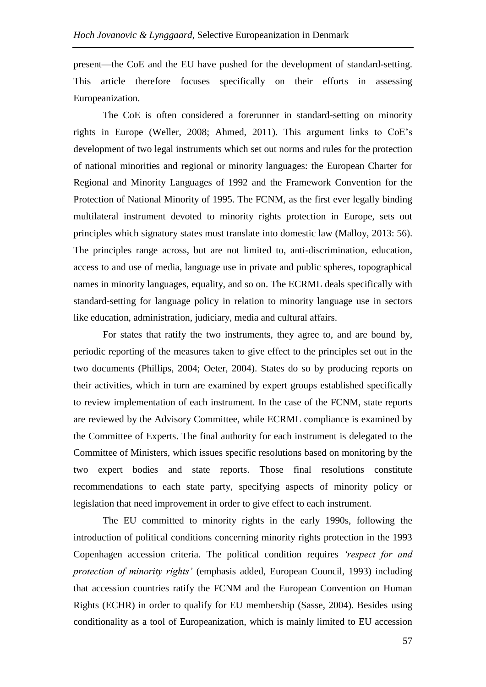present—the CoE and the EU have pushed for the development of standard-setting. This article therefore focuses specifically on their efforts in assessing Europeanization.

The CoE is often considered a forerunner in standard-setting on minority rights in Europe (Weller, 2008; Ahmed, 2011). This argument links to CoE's development of two legal instruments which set out norms and rules for the protection of national minorities and regional or minority languages: the European Charter for Regional and Minority Languages of 1992 and the Framework Convention for the Protection of National Minority of 1995. The FCNM, as the first ever legally binding multilateral instrument devoted to minority rights protection in Europe, sets out principles which signatory states must translate into domestic law (Malloy, 2013: 56). The principles range across, but are not limited to, anti-discrimination, education, access to and use of media, language use in private and public spheres, topographical names in minority languages, equality, and so on. The ECRML deals specifically with standard-setting for language policy in relation to minority language use in sectors like education, administration, judiciary, media and cultural affairs.

For states that ratify the two instruments, they agree to, and are bound by, periodic reporting of the measures taken to give effect to the principles set out in the two documents (Phillips, 2004; Oeter, 2004). States do so by producing reports on their activities, which in turn are examined by expert groups established specifically to review implementation of each instrument. In the case of the FCNM, state reports are reviewed by the Advisory Committee, while ECRML compliance is examined by the Committee of Experts. The final authority for each instrument is delegated to the Committee of Ministers, which issues specific resolutions based on monitoring by the two expert bodies and state reports. Those final resolutions constitute recommendations to each state party, specifying aspects of minority policy or legislation that need improvement in order to give effect to each instrument.

The EU committed to minority rights in the early 1990s, following the introduction of political conditions concerning minority rights protection in the 1993 Copenhagen accession criteria. The political condition requires *'respect for and protection of minority rights'* (emphasis added, European Council, 1993) including that accession countries ratify the FCNM and the European Convention on Human Rights (ECHR) in order to qualify for EU membership (Sasse, 2004). Besides using conditionality as a tool of Europeanization, which is mainly limited to EU accession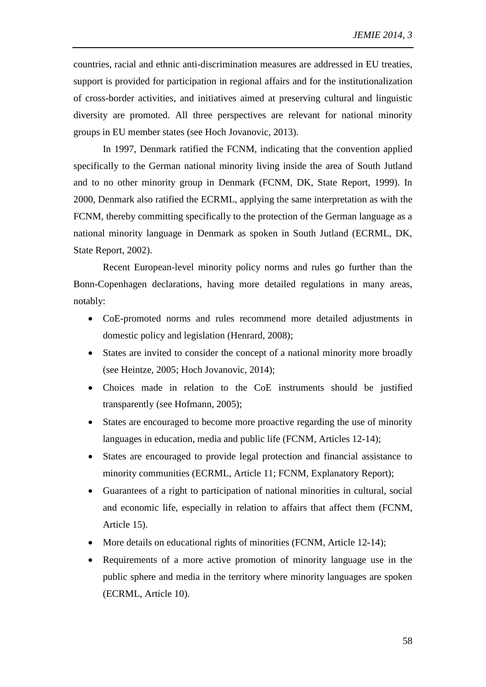countries, racial and ethnic anti-discrimination measures are addressed in EU treaties, support is provided for participation in regional affairs and for the institutionalization of cross-border activities, and initiatives aimed at preserving cultural and linguistic diversity are promoted. All three perspectives are relevant for national minority groups in EU member states (see Hoch Jovanovic, 2013).

In 1997, Denmark ratified the FCNM, indicating that the convention applied specifically to the German national minority living inside the area of South Jutland and to no other minority group in Denmark (FCNM, DK, State Report, 1999). In 2000, Denmark also ratified the ECRML, applying the same interpretation as with the FCNM, thereby committing specifically to the protection of the German language as a national minority language in Denmark as spoken in South Jutland (ECRML, DK, State Report, 2002).

Recent European-level minority policy norms and rules go further than the Bonn-Copenhagen declarations, having more detailed regulations in many areas, notably:

- CoE-promoted norms and rules recommend more detailed adjustments in domestic policy and legislation (Henrard, 2008);
- States are invited to consider the concept of a national minority more broadly (see Heintze, 2005; Hoch Jovanovic, 2014);
- Choices made in relation to the CoE instruments should be justified transparently (see Hofmann, 2005);
- States are encouraged to become more proactive regarding the use of minority languages in education, media and public life (FCNM, Articles 12-14);
- States are encouraged to provide legal protection and financial assistance to minority communities (ECRML, Article 11; FCNM, Explanatory Report);
- Guarantees of a right to participation of national minorities in cultural, social and economic life, especially in relation to affairs that affect them (FCNM, Article 15).
- More details on educational rights of minorities (FCNM, Article 12-14);
- Requirements of a more active promotion of minority language use in the public sphere and media in the territory where minority languages are spoken (ECRML, Article 10).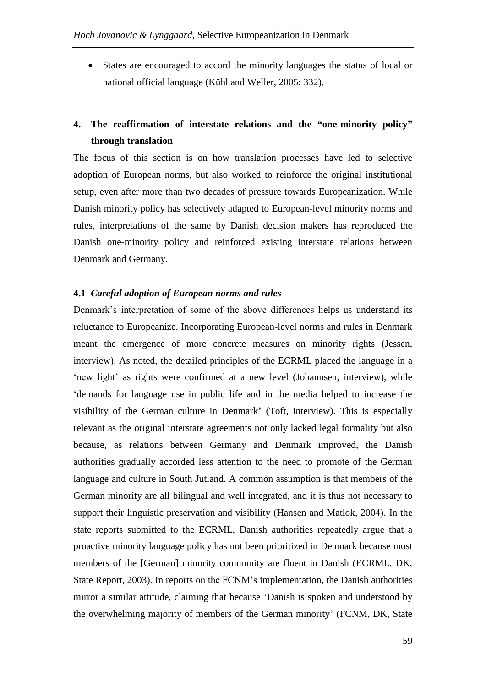States are encouraged to accord the minority languages the status of local or national official language (Kühl and Weller, 2005: 332).

# **4. The reaffirmation of interstate relations and the "one-minority policy" through translation**

The focus of this section is on how translation processes have led to selective adoption of European norms, but also worked to reinforce the original institutional setup, even after more than two decades of pressure towards Europeanization. While Danish minority policy has selectively adapted to European-level minority norms and rules, interpretations of the same by Danish decision makers has reproduced the Danish one-minority policy and reinforced existing interstate relations between Denmark and Germany.

#### **4.1** *Careful adoption of European norms and rules*

Denmark's interpretation of some of the above differences helps us understand its reluctance to Europeanize. Incorporating European-level norms and rules in Denmark meant the emergence of more concrete measures on minority rights (Jessen, interview). As noted, the detailed principles of the ECRML placed the language in a 'new light' as rights were confirmed at a new level (Johannsen, interview), while 'demands for language use in public life and in the media helped to increase the visibility of the German culture in Denmark' (Toft, interview). This is especially relevant as the original interstate agreements not only lacked legal formality but also because, as relations between Germany and Denmark improved, the Danish authorities gradually accorded less attention to the need to promote of the German language and culture in South Jutland. A common assumption is that members of the German minority are all bilingual and well integrated, and it is thus not necessary to support their linguistic preservation and visibility (Hansen and Matlok, 2004). In the state reports submitted to the ECRML, Danish authorities repeatedly argue that a proactive minority language policy has not been prioritized in Denmark because most members of the [German] minority community are fluent in Danish (ECRML, DK, State Report, 2003). In reports on the FCNM's implementation, the Danish authorities mirror a similar attitude, claiming that because 'Danish is spoken and understood by the overwhelming majority of members of the German minority' (FCNM, DK, State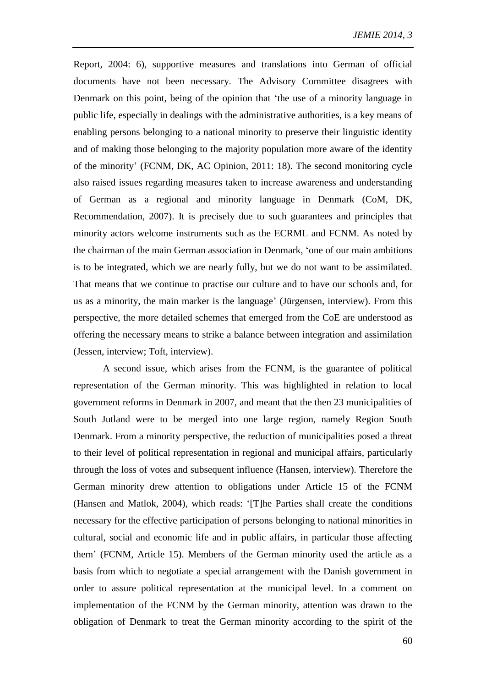Report, 2004: 6), supportive measures and translations into German of official documents have not been necessary. The Advisory Committee disagrees with Denmark on this point, being of the opinion that 'the use of a minority language in public life, especially in dealings with the administrative authorities, is a key means of enabling persons belonging to a national minority to preserve their linguistic identity and of making those belonging to the majority population more aware of the identity of the minority' (FCNM, DK, AC Opinion, 2011: 18). The second monitoring cycle also raised issues regarding measures taken to increase awareness and understanding of German as a regional and minority language in Denmark (CoM, DK, Recommendation, 2007). It is precisely due to such guarantees and principles that minority actors welcome instruments such as the ECRML and FCNM. As noted by the chairman of the main German association in Denmark, 'one of our main ambitions is to be integrated, which we are nearly fully, but we do not want to be assimilated. That means that we continue to practise our culture and to have our schools and, for us as a minority, the main marker is the language' (Jürgensen, interview). From this perspective, the more detailed schemes that emerged from the CoE are understood as offering the necessary means to strike a balance between integration and assimilation (Jessen, interview; Toft, interview).

A second issue, which arises from the FCNM, is the guarantee of political representation of the German minority. This was highlighted in relation to local government reforms in Denmark in 2007, and meant that the then 23 municipalities of South Jutland were to be merged into one large region, namely Region South Denmark. From a minority perspective, the reduction of municipalities posed a threat to their level of political representation in regional and municipal affairs, particularly through the loss of votes and subsequent influence (Hansen, interview). Therefore the German minority drew attention to obligations under Article 15 of the FCNM (Hansen and Matlok, 2004), which reads: '[T]he Parties shall create the conditions necessary for the effective participation of persons belonging to national minorities in cultural, social and economic life and in public affairs, in particular those affecting them' (FCNM, Article 15). Members of the German minority used the article as a basis from which to negotiate a special arrangement with the Danish government in order to assure political representation at the municipal level. In a comment on implementation of the FCNM by the German minority, attention was drawn to the obligation of Denmark to treat the German minority according to the spirit of the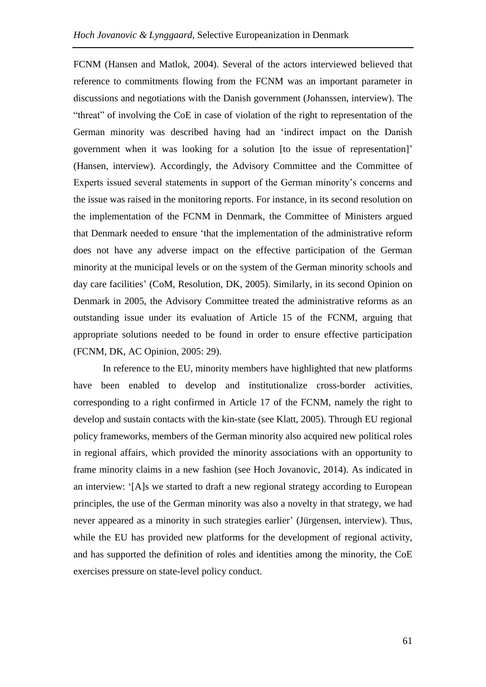FCNM (Hansen and Matlok, 2004). Several of the actors interviewed believed that reference to commitments flowing from the FCNM was an important parameter in discussions and negotiations with the Danish government (Johanssen, interview). The "threat" of involving the CoE in case of violation of the right to representation of the German minority was described having had an 'indirect impact on the Danish government when it was looking for a solution [to the issue of representation]' (Hansen, interview). Accordingly, the Advisory Committee and the Committee of Experts issued several statements in support of the German minority's concerns and the issue was raised in the monitoring reports. For instance, in its second resolution on the implementation of the FCNM in Denmark, the Committee of Ministers argued that Denmark needed to ensure 'that the implementation of the administrative reform does not have any adverse impact on the effective participation of the German minority at the municipal levels or on the system of the German minority schools and day care facilities' (CoM, Resolution, DK, 2005). Similarly, in its second Opinion on Denmark in 2005, the Advisory Committee treated the administrative reforms as an outstanding issue under its evaluation of Article 15 of the FCNM, arguing that appropriate solutions needed to be found in order to ensure effective participation (FCNM, DK, AC Opinion, 2005: 29).

In reference to the EU, minority members have highlighted that new platforms have been enabled to develop and institutionalize cross-border activities, corresponding to a right confirmed in Article 17 of the FCNM, namely the right to develop and sustain contacts with the kin-state (see Klatt, 2005). Through EU regional policy frameworks, members of the German minority also acquired new political roles in regional affairs, which provided the minority associations with an opportunity to frame minority claims in a new fashion (see Hoch Jovanovic, 2014). As indicated in an interview: '[A]s we started to draft a new regional strategy according to European principles, the use of the German minority was also a novelty in that strategy, we had never appeared as a minority in such strategies earlier' (Jürgensen, interview). Thus, while the EU has provided new platforms for the development of regional activity, and has supported the definition of roles and identities among the minority, the CoE exercises pressure on state-level policy conduct.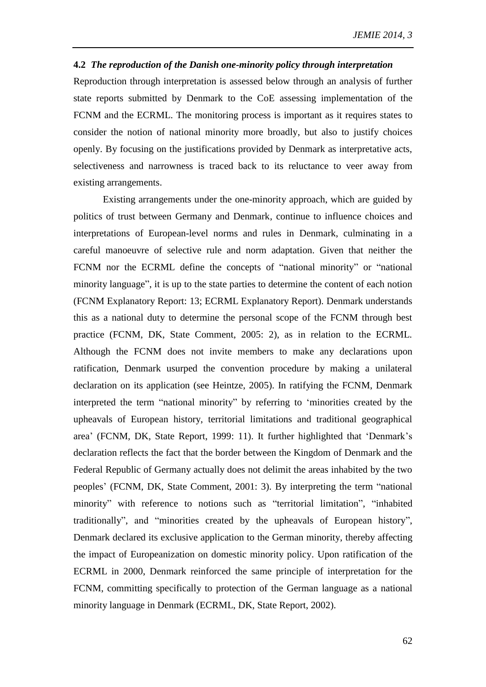#### **4.2** *The reproduction of the Danish one-minority policy through interpretation*

Reproduction through interpretation is assessed below through an analysis of further state reports submitted by Denmark to the CoE assessing implementation of the FCNM and the ECRML. The monitoring process is important as it requires states to consider the notion of national minority more broadly, but also to justify choices openly. By focusing on the justifications provided by Denmark as interpretative acts, selectiveness and narrowness is traced back to its reluctance to veer away from existing arrangements.

Existing arrangements under the one-minority approach, which are guided by politics of trust between Germany and Denmark, continue to influence choices and interpretations of European-level norms and rules in Denmark, culminating in a careful manoeuvre of selective rule and norm adaptation. Given that neither the FCNM nor the ECRML define the concepts of "national minority" or "national minority language", it is up to the state parties to determine the content of each notion (FCNM Explanatory Report: 13; ECRML Explanatory Report). Denmark understands this as a national duty to determine the personal scope of the FCNM through best practice (FCNM, DK, State Comment, 2005: 2), as in relation to the ECRML. Although the FCNM does not invite members to make any declarations upon ratification, Denmark usurped the convention procedure by making a unilateral declaration on its application (see Heintze, 2005). In ratifying the FCNM, Denmark interpreted the term "national minority" by referring to 'minorities created by the upheavals of European history, territorial limitations and traditional geographical area' (FCNM, DK, State Report, 1999: 11). It further highlighted that 'Denmark's declaration reflects the fact that the border between the Kingdom of Denmark and the Federal Republic of Germany actually does not delimit the areas inhabited by the two peoples' (FCNM, DK, State Comment, 2001: 3). By interpreting the term "national minority" with reference to notions such as "territorial limitation", "inhabited traditionally", and "minorities created by the upheavals of European history", Denmark declared its exclusive application to the German minority, thereby affecting the impact of Europeanization on domestic minority policy. Upon ratification of the ECRML in 2000, Denmark reinforced the same principle of interpretation for the FCNM, committing specifically to protection of the German language as a national minority language in Denmark (ECRML, DK, State Report, 2002).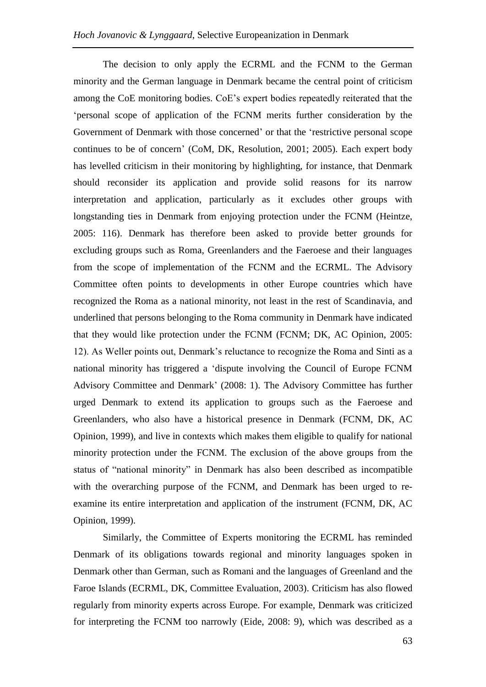The decision to only apply the ECRML and the FCNM to the German minority and the German language in Denmark became the central point of criticism among the CoE monitoring bodies. CoE's expert bodies repeatedly reiterated that the 'personal scope of application of the FCNM merits further consideration by the Government of Denmark with those concerned' or that the 'restrictive personal scope continues to be of concern' (CoM, DK, Resolution, 2001; 2005). Each expert body has levelled criticism in their monitoring by highlighting, for instance, that Denmark should reconsider its application and provide solid reasons for its narrow interpretation and application, particularly as it excludes other groups with longstanding ties in Denmark from enjoying protection under the FCNM (Heintze, 2005: 116). Denmark has therefore been asked to provide better grounds for excluding groups such as Roma, Greenlanders and the Faeroese and their languages from the scope of implementation of the FCNM and the ECRML. The Advisory Committee often points to developments in other Europe countries which have recognized the Roma as a national minority, not least in the rest of Scandinavia, and underlined that persons belonging to the Roma community in Denmark have indicated that they would like protection under the FCNM (FCNM; DK, AC Opinion, 2005: 12). As Weller points out, Denmark's reluctance to recognize the Roma and Sinti as a national minority has triggered a 'dispute involving the Council of Europe FCNM Advisory Committee and Denmark' (2008: 1). The Advisory Committee has further urged Denmark to extend its application to groups such as the Faeroese and Greenlanders, who also have a historical presence in Denmark (FCNM, DK, AC Opinion, 1999), and live in contexts which makes them eligible to qualify for national minority protection under the FCNM. The exclusion of the above groups from the status of "national minority" in Denmark has also been described as incompatible with the overarching purpose of the FCNM, and Denmark has been urged to reexamine its entire interpretation and application of the instrument (FCNM, DK, AC Opinion, 1999).

Similarly, the Committee of Experts monitoring the ECRML has reminded Denmark of its obligations towards regional and minority languages spoken in Denmark other than German, such as Romani and the languages of Greenland and the Faroe Islands (ECRML, DK, Committee Evaluation, 2003). Criticism has also flowed regularly from minority experts across Europe. For example, Denmark was criticized for interpreting the FCNM too narrowly (Eide, 2008: 9), which was described as a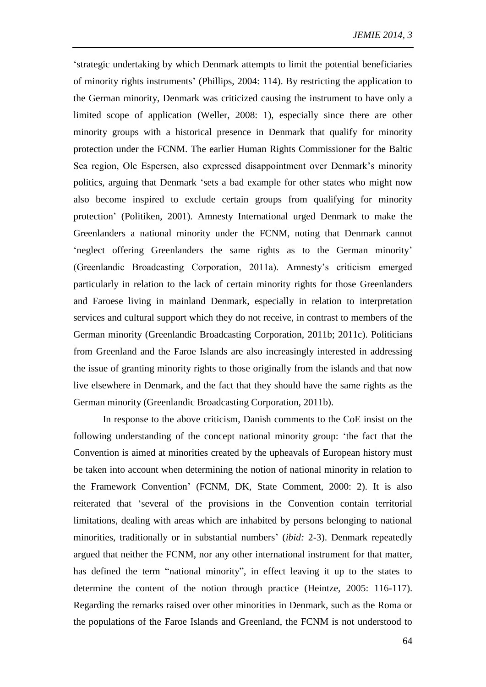'strategic undertaking by which Denmark attempts to limit the potential beneficiaries of minority rights instruments' (Phillips, 2004: 114). By restricting the application to the German minority, Denmark was criticized causing the instrument to have only a limited scope of application (Weller, 2008: 1), especially since there are other minority groups with a historical presence in Denmark that qualify for minority protection under the FCNM. The earlier Human Rights Commissioner for the Baltic Sea region, Ole Espersen, also expressed disappointment over Denmark's minority politics, arguing that Denmark 'sets a bad example for other states who might now also become inspired to exclude certain groups from qualifying for minority protection' (Politiken, 2001). Amnesty International urged Denmark to make the Greenlanders a national minority under the FCNM, noting that Denmark cannot 'neglect offering Greenlanders the same rights as to the German minority' (Greenlandic Broadcasting Corporation, 2011a). Amnesty's criticism emerged particularly in relation to the lack of certain minority rights for those Greenlanders and Faroese living in mainland Denmark, especially in relation to interpretation services and cultural support which they do not receive, in contrast to members of the German minority (Greenlandic Broadcasting Corporation, 2011b; 2011c). Politicians from Greenland and the Faroe Islands are also increasingly interested in addressing the issue of granting minority rights to those originally from the islands and that now live elsewhere in Denmark, and the fact that they should have the same rights as the German minority (Greenlandic Broadcasting Corporation, 2011b).

In response to the above criticism, Danish comments to the CoE insist on the following understanding of the concept national minority group: 'the fact that the Convention is aimed at minorities created by the upheavals of European history must be taken into account when determining the notion of national minority in relation to the Framework Convention' (FCNM, DK, State Comment, 2000: 2). It is also reiterated that 'several of the provisions in the Convention contain territorial limitations, dealing with areas which are inhabited by persons belonging to national minorities, traditionally or in substantial numbers' (*ibid:* 2-3). Denmark repeatedly argued that neither the FCNM, nor any other international instrument for that matter, has defined the term "national minority", in effect leaving it up to the states to determine the content of the notion through practice (Heintze, 2005: 116-117). Regarding the remarks raised over other minorities in Denmark, such as the Roma or the populations of the Faroe Islands and Greenland, the FCNM is not understood to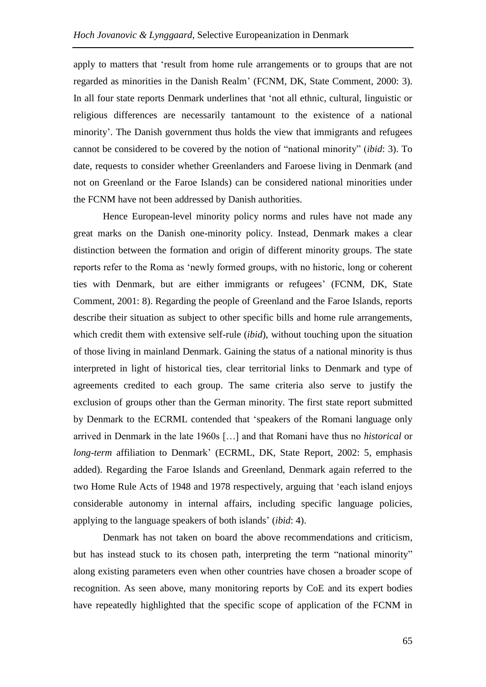apply to matters that 'result from home rule arrangements or to groups that are not regarded as minorities in the Danish Realm' (FCNM, DK, State Comment, 2000: 3). In all four state reports Denmark underlines that 'not all ethnic, cultural, linguistic or religious differences are necessarily tantamount to the existence of a national minority'. The Danish government thus holds the view that immigrants and refugees cannot be considered to be covered by the notion of "national minority" (*ibid*: 3). To date, requests to consider whether Greenlanders and Faroese living in Denmark (and not on Greenland or the Faroe Islands) can be considered national minorities under the FCNM have not been addressed by Danish authorities.

Hence European-level minority policy norms and rules have not made any great marks on the Danish one-minority policy. Instead, Denmark makes a clear distinction between the formation and origin of different minority groups. The state reports refer to the Roma as 'newly formed groups, with no historic, long or coherent ties with Denmark, but are either immigrants or refugees' (FCNM, DK, State Comment, 2001: 8). Regarding the people of Greenland and the Faroe Islands, reports describe their situation as subject to other specific bills and home rule arrangements, which credit them with extensive self-rule (*ibid*), without touching upon the situation of those living in mainland Denmark. Gaining the status of a national minority is thus interpreted in light of historical ties, clear territorial links to Denmark and type of agreements credited to each group. The same criteria also serve to justify the exclusion of groups other than the German minority. The first state report submitted by Denmark to the ECRML contended that 'speakers of the Romani language only arrived in Denmark in the late 1960s […] and that Romani have thus no *historical* or *long-term* affiliation to Denmark' (ECRML, DK, State Report, 2002: 5, emphasis added). Regarding the Faroe Islands and Greenland, Denmark again referred to the two Home Rule Acts of 1948 and 1978 respectively, arguing that 'each island enjoys considerable autonomy in internal affairs, including specific language policies, applying to the language speakers of both islands' (*ibid*: 4).

Denmark has not taken on board the above recommendations and criticism, but has instead stuck to its chosen path, interpreting the term "national minority" along existing parameters even when other countries have chosen a broader scope of recognition. As seen above, many monitoring reports by CoE and its expert bodies have repeatedly highlighted that the specific scope of application of the FCNM in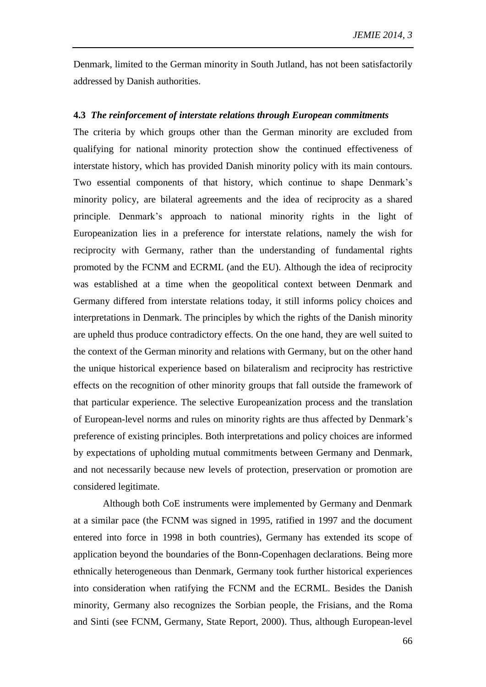Denmark, limited to the German minority in South Jutland, has not been satisfactorily addressed by Danish authorities.

#### **4.3** *The reinforcement of interstate relations through European commitments*

The criteria by which groups other than the German minority are excluded from qualifying for national minority protection show the continued effectiveness of interstate history, which has provided Danish minority policy with its main contours. Two essential components of that history, which continue to shape Denmark's minority policy, are bilateral agreements and the idea of reciprocity as a shared principle. Denmark's approach to national minority rights in the light of Europeanization lies in a preference for interstate relations, namely the wish for reciprocity with Germany, rather than the understanding of fundamental rights promoted by the FCNM and ECRML (and the EU). Although the idea of reciprocity was established at a time when the geopolitical context between Denmark and Germany differed from interstate relations today, it still informs policy choices and interpretations in Denmark. The principles by which the rights of the Danish minority are upheld thus produce contradictory effects. On the one hand, they are well suited to the context of the German minority and relations with Germany, but on the other hand the unique historical experience based on bilateralism and reciprocity has restrictive effects on the recognition of other minority groups that fall outside the framework of that particular experience. The selective Europeanization process and the translation of European-level norms and rules on minority rights are thus affected by Denmark's preference of existing principles. Both interpretations and policy choices are informed by expectations of upholding mutual commitments between Germany and Denmark, and not necessarily because new levels of protection, preservation or promotion are considered legitimate.

Although both CoE instruments were implemented by Germany and Denmark at a similar pace (the FCNM was signed in 1995, ratified in 1997 and the document entered into force in 1998 in both countries), Germany has extended its scope of application beyond the boundaries of the Bonn-Copenhagen declarations. Being more ethnically heterogeneous than Denmark, Germany took further historical experiences into consideration when ratifying the FCNM and the ECRML. Besides the Danish minority, Germany also recognizes the Sorbian people, the Frisians, and the Roma and Sinti (see FCNM, Germany, State Report, 2000). Thus, although European-level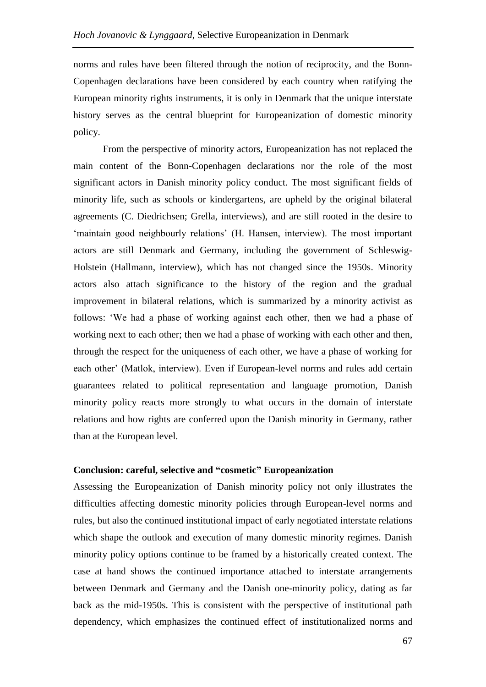norms and rules have been filtered through the notion of reciprocity, and the Bonn-Copenhagen declarations have been considered by each country when ratifying the European minority rights instruments, it is only in Denmark that the unique interstate history serves as the central blueprint for Europeanization of domestic minority policy.

From the perspective of minority actors, Europeanization has not replaced the main content of the Bonn-Copenhagen declarations nor the role of the most significant actors in Danish minority policy conduct. The most significant fields of minority life, such as schools or kindergartens, are upheld by the original bilateral agreements (C. Diedrichsen; Grella, interviews), and are still rooted in the desire to 'maintain good neighbourly relations' (H. Hansen, interview). The most important actors are still Denmark and Germany, including the government of Schleswig-Holstein (Hallmann, interview), which has not changed since the 1950s. Minority actors also attach significance to the history of the region and the gradual improvement in bilateral relations, which is summarized by a minority activist as follows: 'We had a phase of working against each other, then we had a phase of working next to each other; then we had a phase of working with each other and then, through the respect for the uniqueness of each other, we have a phase of working for each other' (Matlok, interview). Even if European-level norms and rules add certain guarantees related to political representation and language promotion, Danish minority policy reacts more strongly to what occurs in the domain of interstate relations and how rights are conferred upon the Danish minority in Germany, rather than at the European level.

### **Conclusion: careful, selective and "cosmetic" Europeanization**

Assessing the Europeanization of Danish minority policy not only illustrates the difficulties affecting domestic minority policies through European-level norms and rules, but also the continued institutional impact of early negotiated interstate relations which shape the outlook and execution of many domestic minority regimes. Danish minority policy options continue to be framed by a historically created context. The case at hand shows the continued importance attached to interstate arrangements between Denmark and Germany and the Danish one-minority policy, dating as far back as the mid-1950s. This is consistent with the perspective of institutional path dependency, which emphasizes the continued effect of institutionalized norms and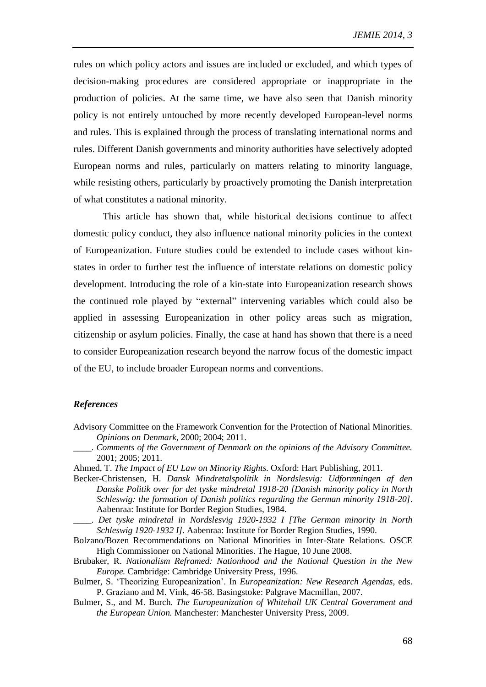rules on which policy actors and issues are included or excluded, and which types of decision-making procedures are considered appropriate or inappropriate in the production of policies. At the same time, we have also seen that Danish minority policy is not entirely untouched by more recently developed European-level norms and rules. This is explained through the process of translating international norms and rules. Different Danish governments and minority authorities have selectively adopted European norms and rules, particularly on matters relating to minority language, while resisting others, particularly by proactively promoting the Danish interpretation of what constitutes a national minority.

This article has shown that, while historical decisions continue to affect domestic policy conduct, they also influence national minority policies in the context of Europeanization. Future studies could be extended to include cases without kinstates in order to further test the influence of interstate relations on domestic policy development. Introducing the role of a kin-state into Europeanization research shows the continued role played by "external" intervening variables which could also be applied in assessing Europeanization in other policy areas such as migration, citizenship or asylum policies. Finally, the case at hand has shown that there is a need to consider Europeanization research beyond the narrow focus of the domestic impact of the EU, to include broader European norms and conventions.

### *References*

- Advisory Committee on the Framework Convention for the Protection of National Minorities. *Opinions on Denmark,* 2000; 2004; 2011.
	- \_\_\_\_. *Comments of the Government of Denmark on the opinions of the Advisory Committee.*  2001; 2005; 2011.
- Ahmed, T. *The Impact of EU Law on Minority Rights.* Oxford: Hart Publishing, 2011.
- Becker-Christensen, H. *Dansk Mindretalspolitik in Nordslesvig: Udformningen af den Danske Politik over for det tyske mindretal 1918-20 [Danish minority policy in North Schleswig: the formation of Danish politics regarding the German minority 1918-20]*. Aabenraa: Institute for Border Region Studies, 1984.
- \_\_\_\_. *Det tyske mindretal in Nordslesvig 1920-1932 I [The German minority in North Schleswig 1920-1932 I].* Aabenraa: Institute for Border Region Studies, 1990.
- Bolzano/Bozen Recommendations on National Minorities in Inter-State Relations. OSCE High Commissioner on National Minorities. The Hague, 10 June 2008.
- Brubaker, R. *Nationalism Reframed: Nationhood and the National Question in the New Europe.* Cambridge: Cambridge University Press, 1996.
- Bulmer, S. 'Theorizing Europeanization'. In *Europeanization: New Research Agendas*, eds. P. Graziano and M. Vink, 46-58. Basingstoke: Palgrave Macmillan, 2007.
- Bulmer, S., and M. Burch. *The Europeanization of Whitehall UK Central Government and the European Union.* Manchester: Manchester University Press, 2009.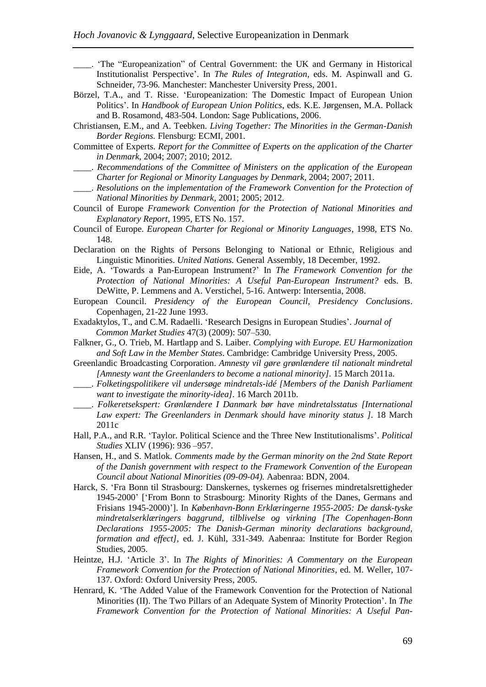- \_\_\_\_. 'The "Europeanization" of Central Government: the UK and Germany in Historical Institutionalist Perspective'. In *The Rules of Integration*, eds. M. Aspinwall and G. Schneider, 73-96*.* Manchester: Manchester University Press, 2001.
- Börzel, T.A., and T. Risse. 'Europeanization: The Domestic Impact of European Union Politics'. In *Handbook of European Union Politics*, eds. K.E. Jørgensen, M.A. Pollack and B. Rosamond, 483-504. London: Sage Publications, 2006.
- Christiansen, E.M., and A. Teebken. *Living Together: The Minorities in the German-Danish Border Regions.* Flensburg: ECMI, 2001.
- Committee of Experts. *Report for the Committee of Experts on the application of the Charter in Denmark,* 2004; 2007; 2010; 2012.
- \_\_\_\_. *Recommendations of the Committee of Ministers on the application of the European Charter for Regional or Minority Languages by Denmark,* 2004; 2007; 2011.
- \_\_\_\_. *Resolutions on the implementation of the Framework Convention for the Protection of National Minorities by Denmark,* 2001; 2005; 2012.
- Council of Europe *Framework Convention for the Protection of National Minorities and Explanatory Report*, 1995*,* ETS No. 157.
- Council of Europe. *European Charter for Regional or Minority Languages*, 1998, ETS No. 148.
- Declaration on the Rights of Persons Belonging to National or Ethnic, Religious and Linguistic Minorities. *United Nations.* General Assembly, 18 December, 1992.
- Eide, A. 'Towards a Pan-European Instrument?' In *The Framework Convention for the Protection of National Minorities: A Useful Pan-European Instrument?* eds. B. DeWitte, P. Lemmens and A. Verstichel, 5-16. Antwerp: Intersentia, 2008.
- European Council. *Presidency of the European Council, Presidency Conclusions*. Copenhagen, 21-22 June 1993.
- Exadaktylos, T., and C.M. Radaelli. 'Research Designs in European Studies'. *Journal of Common Market Studies* 47(3) (2009): 507–530.
- Falkner, G., O. Trieb, M. Hartlapp and S. Laiber. *Complying with Europe. EU Harmonization and Soft Law in the Member States*. Cambridge: Cambridge University Press, 2005.
- Greenlandic Broadcasting Corporation. *Amnesty vil gøre grønlændere til nationalt mindretal [Amnesty want the Greenlanders to become a national minority].* 15 March 2011a.
- \_\_\_\_. *Folketingspolitikere vil undersøge mindretals-idé [Members of the Danish Parliament want to investigate the minority-idea]*. 16 March 2011b.
- \_\_\_\_. *Folkeretsekspert: Grønlændere I Danmark bør have mindretalsstatus [International Law expert: The Greenlanders in Denmark should have minority status ].* 18 March 2011c
- Hall, P.A., and R.R. 'Taylor. Political Science and the Three New Institutionalisms'. *Political Studies* XLIV (1996): 936 –957.
- Hansen, H., and S. Matlok. *Comments made by the German minority on the 2nd State Report of the Danish government with respect to the Framework Convention of the European Council about National Minorities (09-09-04).* Aabenraa: BDN, 2004.
- Harck, S. 'Fra Bonn til Strasbourg: Danskernes, tyskernes og frisernes mindretalsrettigheder 1945-2000' ['From Bonn to Strasbourg: Minority Rights of the Danes, Germans and Frisians 1945-2000)']. In *København-Bonn Erklæringerne 1955-2005: De dansk-tyske mindretalserklæringers baggrund, tilblivelse og virkning [The Copenhagen-Bonn Declarations 1955-2005: The Danish-German minority declarations background, formation and effect]*, ed. J. Kühl, 331-349*.* Aabenraa: Institute for Border Region Studies, 2005.
- Heintze, H.J. 'Article 3'. In *The Rights of Minorities: A Commentary on the European Framework Convention for the Protection of National Minorities*, ed. M. Weller, 107- 137*.* Oxford: Oxford University Press, 2005.
- Henrard, K. 'The Added Value of the Framework Convention for the Protection of National Minorities (II). The Two Pillars of an Adequate System of Minority Protection'. In *The Framework Convention for the Protection of National Minorities: A Useful Pan-*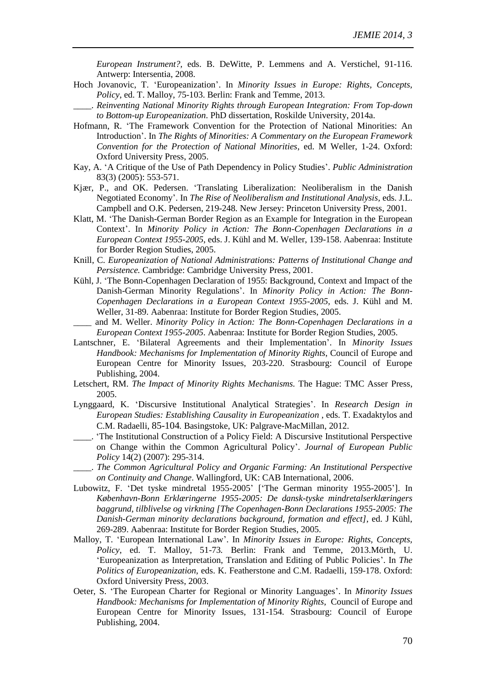*European Instrument?,* eds. B. DeWitte, P. Lemmens and A. Verstichel, 91-116. Antwerp: Intersentia, 2008.

- Hoch Jovanovic, T. 'Europeanization'. In *Minority Issues in Europe: Rights, Concepts, Policy*, ed. T. Malloy, 75-103. Berlin: Frank and Temme, 2013.
- \_\_\_\_. *Reinventing National Minority Rights through European Integration: From Top-down to Bottom-up Europeanization*. PhD dissertation, Roskilde University, 2014a.
- Hofmann, R. 'The Framework Convention for the Protection of National Minorities: An Introduction'. In *The Rights of Minorities: A Commentary on the European Framework Convention for the Protection of National Minorities*, ed. M Weller, 1-24. Oxford: Oxford University Press, 2005.
- Kay, A. 'A Critique of the Use of Path Dependency in Policy Studies'. *Public Administration*  83(3) (2005): 553-571.
- Kjær, P., and OK. Pedersen. 'Translating Liberalization: Neoliberalism in the Danish Negotiated Economy'. In *The Rise of Neoliberalism and Institutional Analysis,* eds. J.L. Campbell and O.K. Pedersen, 219-248*.* New Jersey: Princeton University Press, 2001.
- Klatt, M. 'The Danish-German Border Region as an Example for Integration in the European Context'. In *Minority Policy in Action: The Bonn-Copenhagen Declarations in a European Context 1955-2005*, eds. J. Kühl and M. Weller, 139-158. Aabenraa: Institute for Border Region Studies, 2005.
- Knill, C. *Europeanization of National Administrations: Patterns of Institutional Change and Persistence.* Cambridge: Cambridge University Press, 2001.
- Kühl, J. 'The Bonn-Copenhagen Declaration of 1955: Background, Context and Impact of the Danish-German Minority Regulations'. In *Minority Policy in Action: The Bonn-Copenhagen Declarations in a European Context 1955-2005,* eds. J. Kühl and M. Weller, 31-89. Aabenraa: Institute for Border Region Studies, 2005.
- \_\_\_\_ and M. Weller. *Minority Policy in Action: The Bonn-Copenhagen Declarations in a European Context 1955-2005*. Aabenraa: Institute for Border Region Studies, 2005.
- Lantschner, E. 'Bilateral Agreements and their Implementation'. In *Minority Issues Handbook: Mechanisms for Implementation of Minority Rights*, Council of Europe and European Centre for Minority Issues, 203-220. Strasbourg: Council of Europe Publishing, 2004.
- Letschert, RM. *The Impact of Minority Rights Mechanisms.* The Hague: TMC Asser Press, 2005.
- Lynggaard, K. 'Discursive Institutional Analytical Strategies'. In *Research Design in European Studies: Establishing Causality in Europeanization* , eds. T. Exadaktylos and C.M. Radaelli, 85-104*.* Basingstoke, UK: Palgrave-MacMillan, 2012.
- \_\_\_\_. 'The Institutional Construction of a Policy Field: A Discursive Institutional Perspective on Change within the Common Agricultural Policy'. *Journal of European Public Policy* 14(2) (2007): 295-314.
- \_\_\_\_. *The Common Agricultural Policy and Organic Farming: An Institutional Perspective on Continuity and Change*. Wallingford, UK: CAB International, 2006.
- Lubowitz, F. 'Det tyske mindretal 1955-2005' ['The German minority 1955-2005']. In *København-Bonn Erklæringerne 1955-2005: De dansk-tyske mindretalserklæringers baggrund, tilblivelse og virkning [The Copenhagen-Bonn Declarations 1955-2005: The Danish-German minority declarations background, formation and effect]*, ed. J Kühl, 269-289. Aabenraa: Institute for Border Region Studies, 2005.
- Malloy, T. 'European International Law'. In *Minority Issues in Europe: Rights, Concepts, Policy*, ed. T. Malloy, 51-73*.* Berlin: Frank and Temme, 2013.Mörth, U. 'Europeanization as Interpretation, Translation and Editing of Public Policies'. In *The Politics of Europeanization*, eds. K. Featherstone and C.M. Radaelli, 159-178. Oxford: Oxford University Press, 2003.
- Oeter, S. 'The European Charter for Regional or Minority Languages'. In *Minority Issues Handbook: Mechanisms for Implementation of Minority Rights*, Council of Europe and European Centre for Minority Issues, 131-154*.* Strasbourg: Council of Europe Publishing, 2004.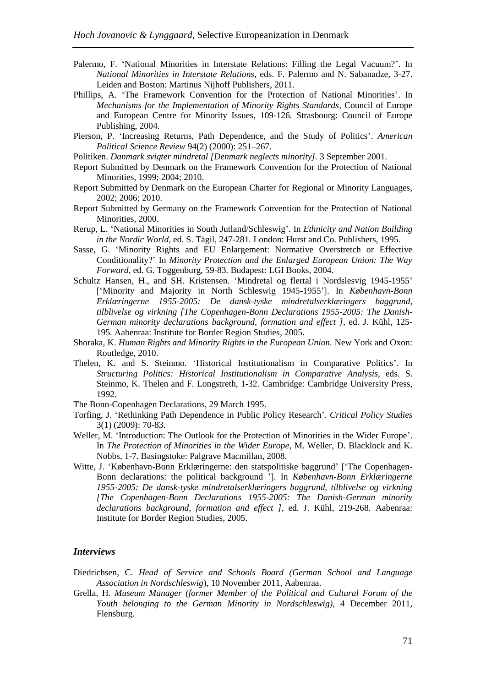- Palermo, F. 'National Minorities in Interstate Relations: Filling the Legal Vacuum?'. In *National Minorities in Interstate Relations*, eds. F. Palermo and N. Sabanadze, 3-27. Leiden and Boston: Martinus Nijhoff Publishers, 2011.
- Phillips, A. 'The Framework Convention for the Protection of National Minorities'. In *Mechanisms for the Implementation of Minority Rights Standards*, Council of Europe and European Centre for Minority Issues, 109-126*.* Strasbourg: Council of Europe Publishing, 2004.
- Pierson, P. 'Increasing Returns, Path Dependence, and the Study of Politics'. *American Political Science Review* 94(2) (2000): 251–267.
- Politiken. *Danmark svigter mindretal [Denmark neglects minority].* 3 September 2001.
- Report Submitted by Denmark on the Framework Convention for the Protection of National Minorities, 1999; 2004; 2010.
- Report Submitted by Denmark on the European Charter for Regional or Minority Languages, 2002; 2006; 2010.
- Report Submitted by Germany on the Framework Convention for the Protection of National Minorities, 2000.
- Rerup, L. 'National Minorities in South Jutland/Schleswig'. In *Ethnicity and Nation Building in the Nordic World*, ed. S. Tägil, 247-281*.* London: Hurst and Co. Publishers, 1995.
- Sasse, G. 'Minority Rights and EU Enlargement: Normative Overstretch or Effective Conditionality?' In *Minority Protection and the Enlarged European Union: The Way Forward*, ed. G. Toggenburg, 59-83*.* Budapest: LGI Books, 2004.
- Schultz Hansen, H., and SH. Kristensen. 'Mindretal og flertal i Nordslesvig 1945-1955' ['Minority and Majority in North Schleswig 1945-1955']. In *København-Bonn Erklæringerne 1955-2005: De dansk-tyske mindretalserklæringers baggrund, tilblivelse og virkning [The Copenhagen-Bonn Declarations 1955-2005: The Danish-German minority declarations background, formation and effect ]*, ed. J. Kühl, 125- 195*.* Aabenraa: Institute for Border Region Studies, 2005.
- Shoraka, K. *Human Rights and Minority Rights in the European Union.* New York and Oxon: Routledge, 2010.
- Thelen, K. and S. Steinmo. 'Historical Institutionalism in Comparative Politics'. In *Structuring Politics: Historical Institutionalism in Comparative Analysis*, eds. S. Steinmo, K. Thelen and F. Longstreth, 1-32. Cambridge: Cambridge University Press, 1992.
- The Bonn-Copenhagen Declarations, 29 March 1995.
- Torfing, J. 'Rethinking Path Dependence in Public Policy Research'. *Critical Policy Studies* 3(1) (2009): 70-83.
- Weller, M. 'Introduction: The Outlook for the Protection of Minorities in the Wider Europe'. In *The Protection of Minorities in the Wider Europe*, M. Weller, D. Blacklock and K. Nobbs, 1-7. Basingstoke: Palgrave Macmillan, 2008.
- Witte, J. 'København-Bonn Erklæringerne: den statspolitiske baggrund' ['The Copenhagen-Bonn declarations: the political background ']. In *København-Bonn Erklæringerne 1955-2005: De dansk-tyske mindretalserklæringers baggrund, tilblivelse og virkning [The Copenhagen-Bonn Declarations 1955-2005: The Danish-German minority declarations background, formation and effect ]*, ed. J. Kühl, 219-268*.* Aabenraa: Institute for Border Region Studies, 2005.

#### *Interviews*

- Diedrichsen, C. *Head of Service and Schools Board (German School and Language Association in Nordschleswig*), 10 November 2011, Aabenraa.
- Grella, H. *Museum Manager (former Member of the Political and Cultural Forum of the Youth belonging to the German Minority in Nordschleswig),* 4 December 2011, Flensburg.